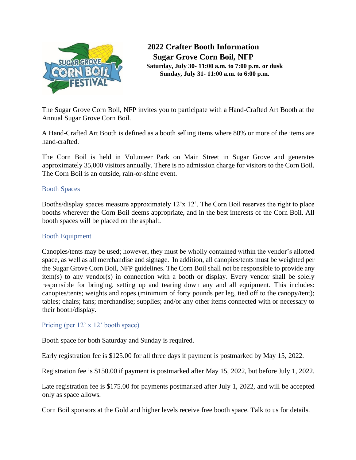

**2022 Crafter Booth Information Sugar Grove Corn Boil, NFP Saturday, July 30- 11:00 a.m. to 7:00 p.m. or dusk Sunday, July 31- 11:00 a.m. to 6:00 p.m.**

The Sugar Grove Corn Boil, NFP invites you to participate with a Hand-Crafted Art Booth at the Annual Sugar Grove Corn Boil.

A Hand-Crafted Art Booth is defined as a booth selling items where 80% or more of the items are hand-crafted.

The Corn Boil is held in Volunteer Park on Main Street in Sugar Grove and generates approximately 35,000 visitors annually. There is no admission charge for visitors to the Corn Boil. The Corn Boil is an outside, rain-or-shine event.

# Booth Spaces

Booths/display spaces measure approximately 12'x 12'. The Corn Boil reserves the right to place booths wherever the Corn Boil deems appropriate, and in the best interests of the Corn Boil. All booth spaces will be placed on the asphalt.

## Booth Equipment

Canopies/tents may be used; however, they must be wholly contained within the vendor's allotted space, as well as all merchandise and signage. In addition, all canopies/tents must be weighted per the Sugar Grove Corn Boil, NFP guidelines. The Corn Boil shall not be responsible to provide any item(s) to any vendor(s) in connection with a booth or display. Every vendor shall be solely responsible for bringing, setting up and tearing down any and all equipment. This includes: canopies/tents; weights and ropes (minimum of forty pounds per leg, tied off to the canopy/tent); tables; chairs; fans; merchandise; supplies; and/or any other items connected with or necessary to their booth/display.

## Pricing (per 12' x 12' booth space)

Booth space for both Saturday and Sunday is required.

Early registration fee is \$125.00 for all three days if payment is postmarked by May 15, 2022.

Registration fee is \$150.00 if payment is postmarked after May 15, 2022, but before July 1, 2022.

Late registration fee is \$175.00 for payments postmarked after July 1, 2022, and will be accepted only as space allows.

Corn Boil sponsors at the Gold and higher levels receive free booth space. Talk to us for details.